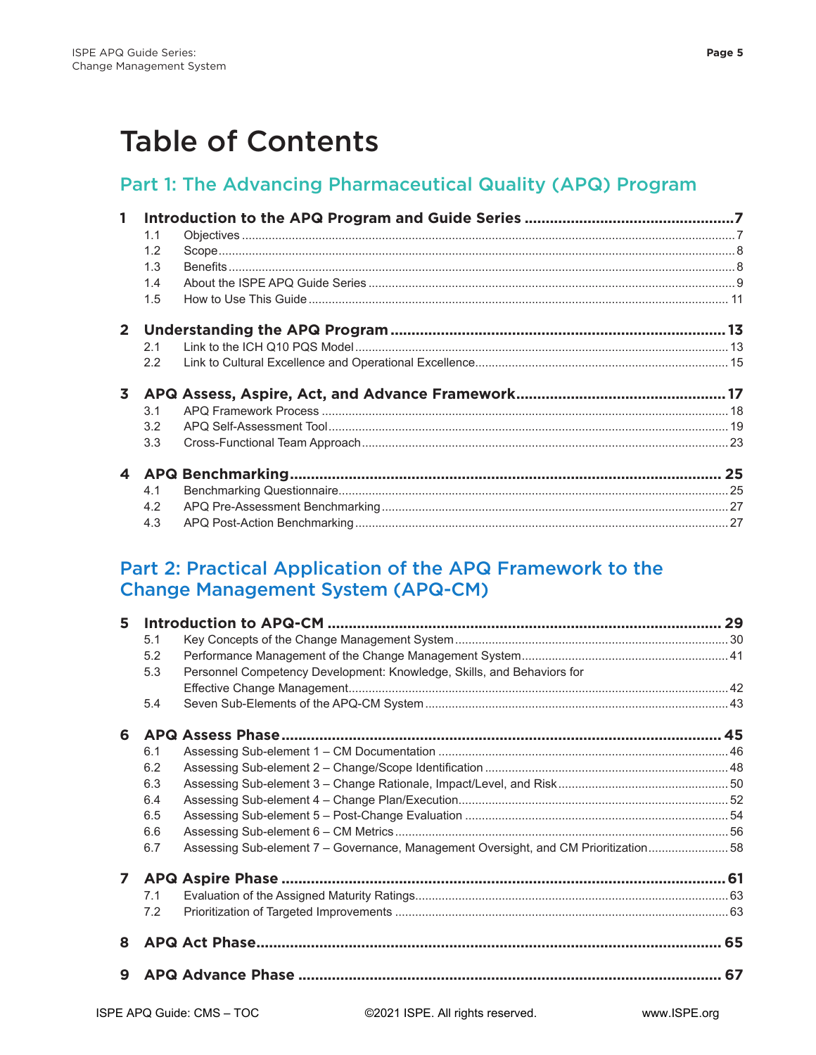## **Table of Contents**

## Part 1: The Advancing Pharmaceutical Quality (APQ) Program

| $\mathbf{1}$ |               |  |
|--------------|---------------|--|
|              | 1.1           |  |
|              | 1.2           |  |
|              | 1.3           |  |
|              | 1.4           |  |
|              | 1.5           |  |
|              |               |  |
|              | 2.1           |  |
|              | $2.2^{\circ}$ |  |
| 3            |               |  |
|              | 3.1           |  |
|              | 3.2           |  |
|              | 3.3           |  |
|              |               |  |
|              | 4.1           |  |
|              | 4.2           |  |
|              | 4.3           |  |
|              |               |  |

## Part 2: Practical Application of the APQ Framework to the **Change Management System (APQ-CM)**

| 5.1<br>5.2<br>5.3<br>5.4<br>6.1<br>6.2 | Personnel Competency Development: Knowledge, Skills, and Behaviors for |                                                                                      |
|----------------------------------------|------------------------------------------------------------------------|--------------------------------------------------------------------------------------|
|                                        |                                                                        |                                                                                      |
|                                        |                                                                        |                                                                                      |
|                                        |                                                                        |                                                                                      |
|                                        |                                                                        |                                                                                      |
|                                        |                                                                        |                                                                                      |
|                                        |                                                                        |                                                                                      |
|                                        |                                                                        |                                                                                      |
|                                        |                                                                        |                                                                                      |
| 6.3                                    |                                                                        |                                                                                      |
| 6.4                                    |                                                                        |                                                                                      |
| 6.5                                    |                                                                        |                                                                                      |
| 6.6                                    |                                                                        |                                                                                      |
| 6.7                                    |                                                                        |                                                                                      |
|                                        |                                                                        |                                                                                      |
| 7.1                                    |                                                                        |                                                                                      |
| 7.2                                    |                                                                        |                                                                                      |
|                                        |                                                                        |                                                                                      |
|                                        |                                                                        |                                                                                      |
|                                        |                                                                        | Assessing Sub-element 7 - Governance, Management Oversight, and CM Prioritization 58 |